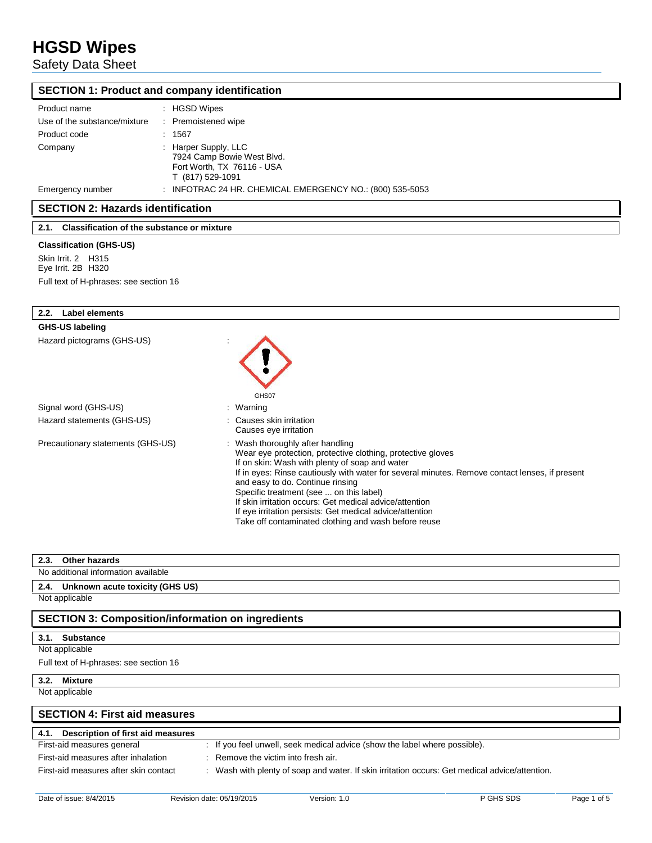Safety Data Sheet

|                                                 | <b>SECTION 1: Product and company identification</b>                                                 |
|-------------------------------------------------|------------------------------------------------------------------------------------------------------|
| Product name                                    | : HGSD Wipes                                                                                         |
| Use of the substance/mixture                    | : Premoistened wipe                                                                                  |
| Product code                                    | : 1567                                                                                               |
| Company                                         | : Harper Supply, LLC<br>7924 Camp Bowie West Blvd.<br>Fort Worth, TX 76116 - USA<br>T (817) 529-1091 |
| Emergency number                                | : INFOTRAC 24 HR. CHEMICAL EMERGENCY NO.: (800) 535-5053                                             |
| <b>SECTION 2: Hazards identification</b>        |                                                                                                      |
| 2.1. Classification of the substance or mixture |                                                                                                      |
| <b>Classification (GHS-US)</b>                  |                                                                                                      |
| Skin Irrit. 2 H315                              |                                                                                                      |
| Eye Irrit. 2B H320                              |                                                                                                      |
| Full text of H-phrases: see section 16          |                                                                                                      |
|                                                 |                                                                                                      |
| <b>Label elements</b><br>2.2.                   |                                                                                                      |
| <b>GHS-US labeling</b>                          |                                                                                                      |
| Hazard pictograms (GHS-US)                      |                                                                                                      |

|                                   | GHS07                                                                                                                                                                                                                                                                                                                                                                                                                                                                                                             |
|-----------------------------------|-------------------------------------------------------------------------------------------------------------------------------------------------------------------------------------------------------------------------------------------------------------------------------------------------------------------------------------------------------------------------------------------------------------------------------------------------------------------------------------------------------------------|
| Signal word (GHS-US)              | : Warning                                                                                                                                                                                                                                                                                                                                                                                                                                                                                                         |
| Hazard statements (GHS-US)        | : Causes skin irritation<br>Causes eye irritation                                                                                                                                                                                                                                                                                                                                                                                                                                                                 |
| Precautionary statements (GHS-US) | : Wash thoroughly after handling<br>Wear eye protection, protective clothing, protective gloves<br>If on skin: Wash with plenty of soap and water<br>If in eyes: Rinse cautiously with water for several minutes. Remove contact lenses, if present<br>and easy to do. Continue rinsing<br>Specific treatment (see  on this label)<br>If skin irritation occurs: Get medical advice/attention<br>If eye irritation persists: Get medical advice/attention<br>Take off contaminated clothing and wash before reuse |

| Other hazards<br>2.3.                                    |                                                                                                |
|----------------------------------------------------------|------------------------------------------------------------------------------------------------|
| No additional information available                      |                                                                                                |
| 2.4. Unknown acute toxicity (GHS US)                     |                                                                                                |
| Not applicable                                           |                                                                                                |
| <b>SECTION 3: Composition/information on ingredients</b> |                                                                                                |
| <b>Substance</b><br>3.1.                                 |                                                                                                |
| Not applicable                                           |                                                                                                |
| Full text of H-phrases: see section 16                   |                                                                                                |
| <b>Mixture</b><br>3.2.                                   |                                                                                                |
| Not applicable                                           |                                                                                                |
| <b>SECTION 4: First aid measures</b>                     |                                                                                                |
| Description of first aid measures<br>4.1.                |                                                                                                |
| First-aid measures general                               | : If you feel unwell, seek medical advice (show the label where possible).                     |
| First-aid measures after inhalation                      | : Remove the victim into fresh air.                                                            |
| First-aid measures after skin contact                    | : Wash with plenty of soap and water. If skin irritation occurs: Get medical advice/attention. |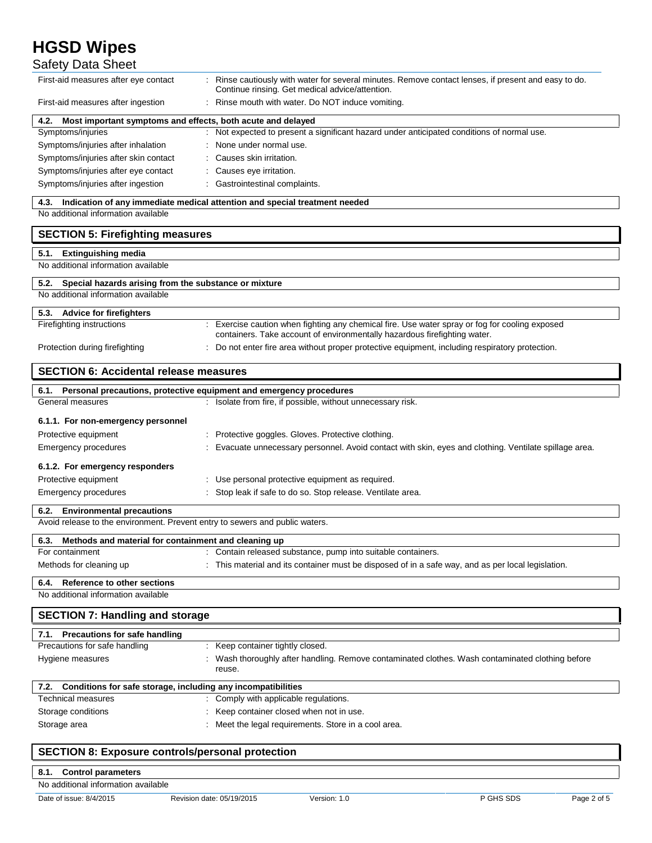| Safety Data Sheet                                                                                              |                                                                                                                                                                           |
|----------------------------------------------------------------------------------------------------------------|---------------------------------------------------------------------------------------------------------------------------------------------------------------------------|
| First-aid measures after eye contact                                                                           | Rinse cautiously with water for several minutes. Remove contact lenses, if present and easy to do.<br>Continue rinsing. Get medical advice/attention.                     |
| First-aid measures after ingestion                                                                             | Rinse mouth with water. Do NOT induce vomiting.                                                                                                                           |
| Most important symptoms and effects, both acute and delayed<br>4.2.                                            |                                                                                                                                                                           |
| Symptoms/injuries                                                                                              | Not expected to present a significant hazard under anticipated conditions of normal use.                                                                                  |
| Symptoms/injuries after inhalation                                                                             | None under normal use.                                                                                                                                                    |
| Symptoms/injuries after skin contact                                                                           | Causes skin irritation.                                                                                                                                                   |
| Symptoms/injuries after eye contact                                                                            | Causes eye irritation.                                                                                                                                                    |
| Symptoms/injuries after ingestion                                                                              | Gastrointestinal complaints.                                                                                                                                              |
| 4.3.                                                                                                           | Indication of any immediate medical attention and special treatment needed                                                                                                |
| No additional information available                                                                            |                                                                                                                                                                           |
| <b>SECTION 5: Firefighting measures</b>                                                                        |                                                                                                                                                                           |
| <b>Extinguishing media</b><br>5.1.                                                                             |                                                                                                                                                                           |
| No additional information available                                                                            |                                                                                                                                                                           |
| Special hazards arising from the substance or mixture<br>5.2.                                                  |                                                                                                                                                                           |
| No additional information available                                                                            |                                                                                                                                                                           |
| 5.3. Advice for firefighters                                                                                   |                                                                                                                                                                           |
| Firefighting instructions                                                                                      | Exercise caution when fighting any chemical fire. Use water spray or fog for cooling exposed<br>containers. Take account of environmentally hazardous firefighting water. |
| Protection during firefighting                                                                                 | Do not enter fire area without proper protective equipment, including respiratory protection.                                                                             |
| <b>SECTION 6: Accidental release measures</b>                                                                  |                                                                                                                                                                           |
| 6.1. Personal precautions, protective equipment and emergency procedures                                       |                                                                                                                                                                           |
| General measures                                                                                               | : Isolate from fire, if possible, without unnecessary risk.                                                                                                               |
| 6.1.1. For non-emergency personnel                                                                             |                                                                                                                                                                           |
|                                                                                                                |                                                                                                                                                                           |
| Protective equipment                                                                                           | Protective goggles. Gloves. Protective clothing.                                                                                                                          |
| Emergency procedures                                                                                           | Evacuate unnecessary personnel. Avoid contact with skin, eyes and clothing. Ventilate spillage area.                                                                      |
| 6.1.2. For emergency responders                                                                                |                                                                                                                                                                           |
| Protective equipment                                                                                           | Use personal protective equipment as required.                                                                                                                            |
| Emergency procedures                                                                                           | Stop leak if safe to do so. Stop release. Ventilate area.                                                                                                                 |
|                                                                                                                |                                                                                                                                                                           |
| 6.2. Environmental precautions<br>Avoid release to the environment. Prevent entry to sewers and public waters. |                                                                                                                                                                           |
| Methods and material for containment and cleaning up<br>6.3.                                                   |                                                                                                                                                                           |
| For containment                                                                                                | Contain released substance, pump into suitable containers.                                                                                                                |
| Methods for cleaning up                                                                                        | This material and its container must be disposed of in a safe way, and as per local legislation.                                                                          |
| <b>Reference to other sections</b><br>6.4.                                                                     |                                                                                                                                                                           |
| No additional information available                                                                            |                                                                                                                                                                           |
| <b>SECTION 7: Handling and storage</b>                                                                         |                                                                                                                                                                           |
| 7.1. Precautions for safe handling                                                                             |                                                                                                                                                                           |
| Precautions for safe handling                                                                                  | Keep container tightly closed.                                                                                                                                            |
| Hygiene measures                                                                                               | Wash thoroughly after handling. Remove contaminated clothes. Wash contaminated clothing before<br>reuse.                                                                  |
| 7.2.                                                                                                           |                                                                                                                                                                           |
| Conditions for safe storage, including any incompatibilities<br><b>Technical measures</b>                      | Comply with applicable regulations.                                                                                                                                       |
| Storage conditions                                                                                             | Keep container closed when not in use.                                                                                                                                    |
| Storage area                                                                                                   | Meet the legal requirements. Store in a cool area.                                                                                                                        |

## **SECTION 8: Exposure controls/personal protection**

**8.1. Control parameters** No additional information available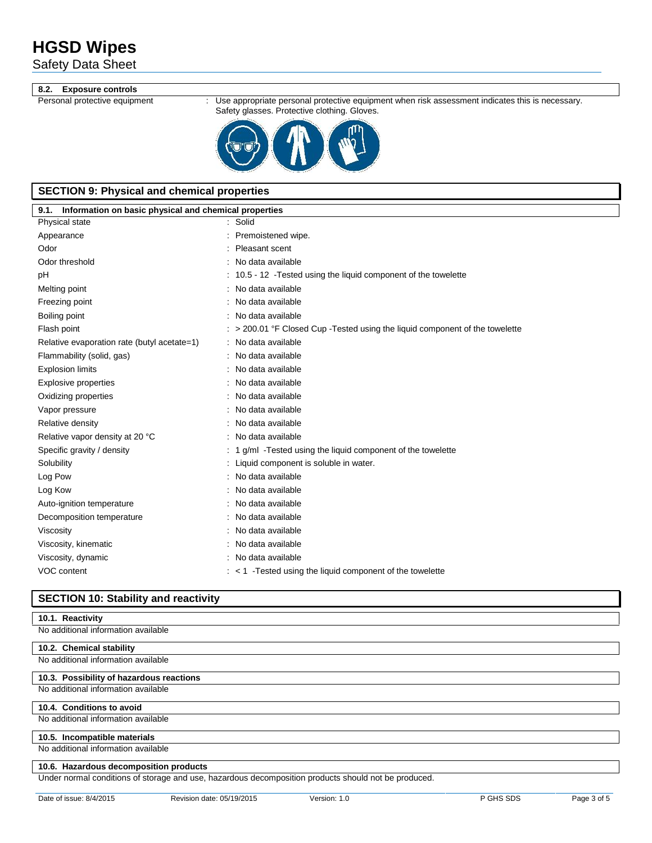Safety Data Sheet

### **8.2. Exposure controls**

Personal protective equipment : Use appropriate personal protective equipment when risk assessment indicates this is necessary. Safety glasses. Protective clothing. Gloves.



## **SECTION 9: Physical and chemical properties**

| Information on basic physical and chemical properties<br>9.1. |                                                                                         |  |
|---------------------------------------------------------------|-----------------------------------------------------------------------------------------|--|
| Physical state                                                | : Solid                                                                                 |  |
| Appearance                                                    | Premoistened wipe.                                                                      |  |
| Odor                                                          | Pleasant scent                                                                          |  |
| Odor threshold                                                | No data available                                                                       |  |
| pH                                                            | 10.5 - 12 - Tested using the liquid component of the towelette                          |  |
| Melting point                                                 | No data available                                                                       |  |
| Freezing point                                                | No data available                                                                       |  |
| Boiling point                                                 | No data available                                                                       |  |
| Flash point                                                   | $\therefore$ > 200.01 °F Closed Cup -Tested using the liquid component of the towelette |  |
| Relative evaporation rate (butyl acetate=1)                   | No data available                                                                       |  |
| Flammability (solid, gas)                                     | No data available                                                                       |  |
| <b>Explosion limits</b>                                       | No data available                                                                       |  |
| Explosive properties                                          | No data available                                                                       |  |
| Oxidizing properties                                          | No data available                                                                       |  |
| Vapor pressure                                                | No data available                                                                       |  |
| Relative density                                              | No data available                                                                       |  |
| Relative vapor density at 20 °C                               | No data available                                                                       |  |
| Specific gravity / density                                    | 1 g/ml -Tested using the liquid component of the towelette                              |  |
| Solubility                                                    | Liquid component is soluble in water.                                                   |  |
| Log Pow                                                       | No data available                                                                       |  |
| Log Kow                                                       | No data available                                                                       |  |
| Auto-ignition temperature                                     | No data available                                                                       |  |
| Decomposition temperature                                     | No data available                                                                       |  |
| Viscosity                                                     | No data available                                                                       |  |
| Viscosity, kinematic                                          | No data available                                                                       |  |
| Viscosity, dynamic                                            | No data available                                                                       |  |
| VOC content                                                   | $:$ < 1 - Tested using the liquid component of the towelette                            |  |

### **SECTION 10: Stability and reactivity**

### **10.1. Reactivity**

No additional information available

### **10.2. Chemical stability**

No additional information available

### **10.3. Possibility of hazardous reactions**

No additional information available

### **10.4. Conditions to avoid**

No additional information available

### **10.5. Incompatible materials**

No additional information available

### **10.6. Hazardous decomposition products**

Under normal conditions of storage and use, hazardous decomposition products should not be produced.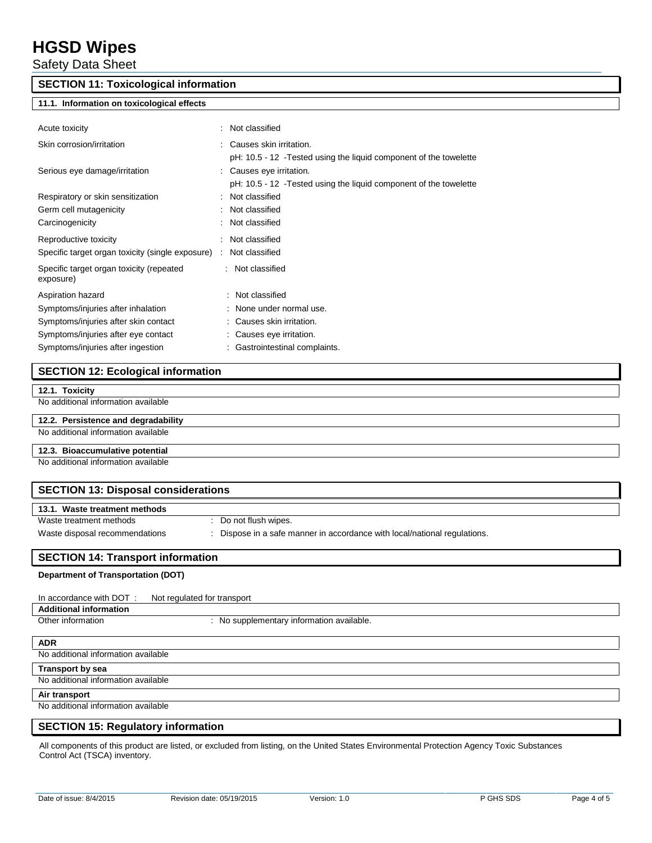Safety Data Sheet

### **SECTION 11: Toxicological information**

### **11.1. Information on toxicological effects**

| Acute toxicity                                        | : Not classified                                                                                                                                                     |
|-------------------------------------------------------|----------------------------------------------------------------------------------------------------------------------------------------------------------------------|
| Skin corrosion/irritation                             | : Causes skin irritation.                                                                                                                                            |
| Serious eye damage/irritation                         | pH: 10.5 - 12 - Tested using the liquid component of the towelette<br>: Causes eye irritation.<br>pH: 10.5 - 12 - Tested using the liquid component of the towelette |
| Respiratory or skin sensitization                     | : Not classified                                                                                                                                                     |
| Germ cell mutagenicity                                | : Not classified                                                                                                                                                     |
| Carcinogenicity                                       | : Not classified                                                                                                                                                     |
| Reproductive toxicity                                 | : Not classified                                                                                                                                                     |
| Specific target organ toxicity (single exposure)      | Not classified                                                                                                                                                       |
| Specific target organ toxicity (repeated<br>exposure) | Not classified<br>÷                                                                                                                                                  |
| Aspiration hazard                                     | : Not classified                                                                                                                                                     |
| Symptoms/injuries after inhalation                    | : None under normal use.                                                                                                                                             |
| Symptoms/injuries after skin contact                  | : Causes skin irritation.                                                                                                                                            |
| Symptoms/injuries after eye contact                   | : Causes eye irritation.                                                                                                                                             |
| Symptoms/injuries after ingestion                     | : Gastrointestinal complaints.                                                                                                                                       |

### **SECTION 12: Ecological information**

| 12.1. Toxicity |  |
|----------------|--|
|----------------|--|

No additional information available

### **12.2. Persistence and degradability** No additional information available

## **12.3. Bioaccumulative potential**

No additional information available

| <b>SECTION 13: Disposal considerations</b> |                                                                           |  |
|--------------------------------------------|---------------------------------------------------------------------------|--|
| 13.1. Waste treatment methods              |                                                                           |  |
| Waste treatment methods                    | : Do not flush wipes.                                                     |  |
| Waste disposal recommendations             | : Dispose in a safe manner in accordance with local/national regulations. |  |
|                                            |                                                                           |  |
| <b>SECTION 14: Transport information</b>   |                                                                           |  |
| Department of Transportation (DOT)         |                                                                           |  |
|                                            |                                                                           |  |
| In accordance with DOT:                    | Not regulated for transport                                               |  |
| <b>Additional information</b>              |                                                                           |  |
| Other information                          | : No supplementary information available.                                 |  |

#### **ADR**

No additional information available

**Transport by sea**

No additional information available

## **Air transport**

No additional information available

### **SECTION 15: Regulatory information**

All components of this product are listed, or excluded from listing, on the United States Environmental Protection Agency Toxic Substances Control Act (TSCA) inventory.